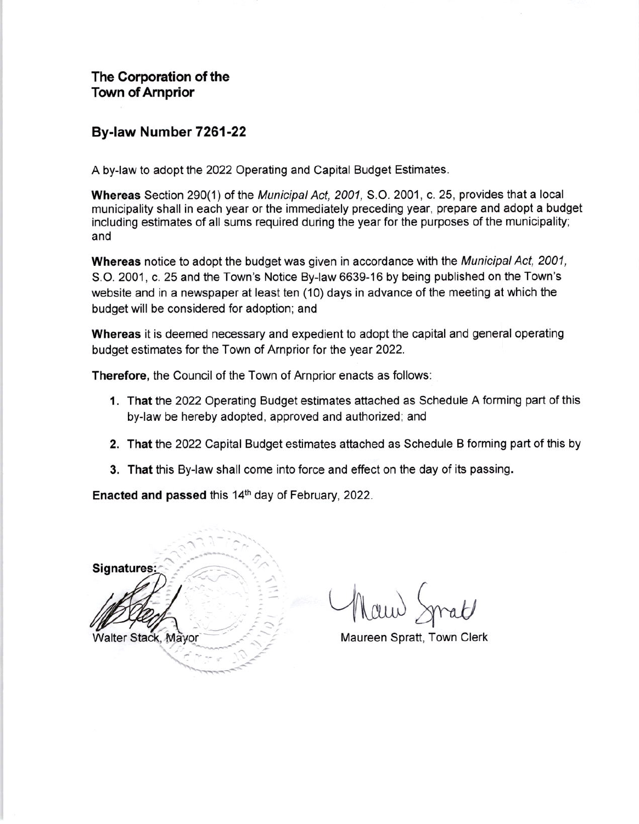The Corporation of the Town of Amprior

## By-law Number 7261-22

A by-law to adopt the 2022 Operating and Capital Budget Estimates.

Whereas Section 290(1) of the Municipal Act, 2001, S.O. 2001, c. 25, provides that a local municipality shall in each year or the immediately preceding year, prepare and adopt a budget including estimates of all sums required during the year for the purposes of the municipality; and

**Whereas** notice to adopt the budget was given in accordance with the *Municipal Act, 2001,* S.O, 2001, c. 25 and the Town's Notice By-law 6639-16 by being published on the Town's website and in a newspaper at least ten (10) days in advance of the meeting at which the budget will be considered for adoption; and

Whereas it is deemed necessary and expedient to adopt the capital and general operating budget estimates for the Town of Arnprior for the year 2022.

Therefore, the Council of the Town of Arnprior enacts as follows:

- 1. That the 2022 Operating Budget estimates attached as Schedule A forming part of this by-law be hereby adopted, approved and authorized; and
- 2. That the 2022 Capital Budget estimates attached as Schedule B forming part of this by
- 3. That this By-law shall come into force and effect on the day of its passing.

Enacted and passed this 14<sup>th</sup> day of February, 2022.

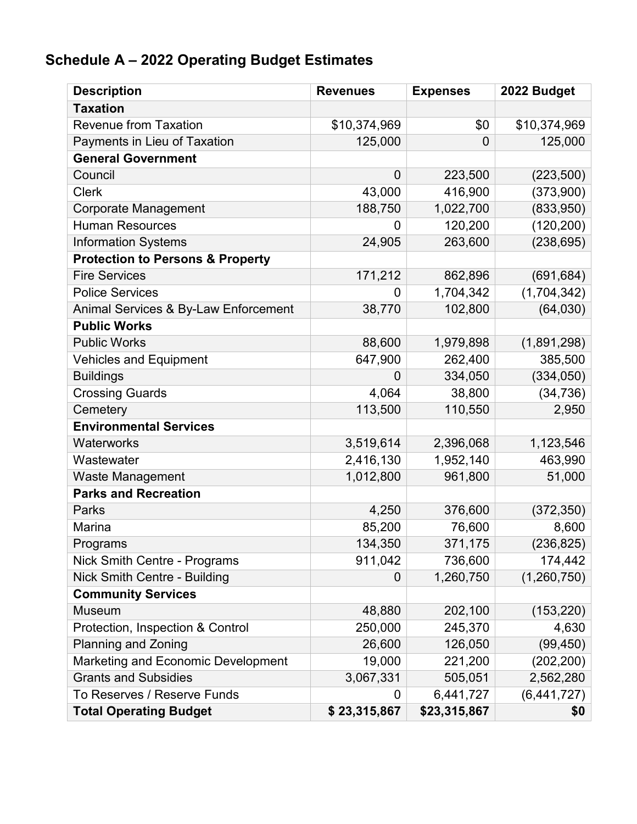## **Schedule A – 2022 Operating Budget Estimates**

| <b>Description</b>                          | <b>Revenues</b> | <b>Expenses</b> | 2022 Budget  |
|---------------------------------------------|-----------------|-----------------|--------------|
| <b>Taxation</b>                             |                 |                 |              |
| <b>Revenue from Taxation</b>                | \$10,374,969    | \$0             | \$10,374,969 |
| Payments in Lieu of Taxation                | 125,000         | $\overline{0}$  | 125,000      |
| <b>General Government</b>                   |                 |                 |              |
| Council                                     | $\mathbf 0$     | 223,500         | (223, 500)   |
| <b>Clerk</b>                                | 43,000          | 416,900         | (373,900)    |
| <b>Corporate Management</b>                 | 188,750         | 1,022,700       | (833,950)    |
| <b>Human Resources</b>                      | 0               | 120,200         | (120, 200)   |
| <b>Information Systems</b>                  | 24,905          | 263,600         | (238, 695)   |
| <b>Protection to Persons &amp; Property</b> |                 |                 |              |
| <b>Fire Services</b>                        | 171,212         | 862,896         | (691, 684)   |
| <b>Police Services</b>                      | 0               | 1,704,342       | (1,704,342)  |
| Animal Services & By-Law Enforcement        | 38,770          | 102,800         | (64, 030)    |
| <b>Public Works</b>                         |                 |                 |              |
| <b>Public Works</b>                         | 88,600          | 1,979,898       | (1,891,298)  |
| <b>Vehicles and Equipment</b>               | 647,900         | 262,400         | 385,500      |
| <b>Buildings</b>                            | 0               | 334,050         | (334, 050)   |
| <b>Crossing Guards</b>                      | 4,064           | 38,800          | (34, 736)    |
| Cemetery                                    | 113,500         | 110,550         | 2,950        |
| <b>Environmental Services</b>               |                 |                 |              |
| Waterworks                                  | 3,519,614       | 2,396,068       | 1,123,546    |
| Wastewater                                  | 2,416,130       | 1,952,140       | 463,990      |
| Waste Management                            | 1,012,800       | 961,800         | 51,000       |
| <b>Parks and Recreation</b>                 |                 |                 |              |
| Parks                                       | 4,250           | 376,600         | (372, 350)   |
| Marina                                      | 85,200          | 76,600          | 8,600        |
| Programs                                    | 134,350         | 371,175         | (236, 825)   |
| Nick Smith Centre - Programs                | 911,042         | 736,600         | 174,442      |
| Nick Smith Centre - Building                | 0               | 1,260,750       | (1,260,750)  |
| <b>Community Services</b>                   |                 |                 |              |
| <b>Museum</b>                               | 48,880          | 202,100         | (153, 220)   |
| Protection, Inspection & Control            | 250,000         | 245,370         | 4,630        |
| <b>Planning and Zoning</b>                  | 26,600          | 126,050         | (99, 450)    |
| Marketing and Economic Development          | 19,000          | 221,200         | (202, 200)   |
| <b>Grants and Subsidies</b>                 | 3,067,331       | 505,051         | 2,562,280    |
| To Reserves / Reserve Funds                 | 0               | 6,441,727       | (6,441,727)  |
| <b>Total Operating Budget</b>               | \$23,315,867    | \$23,315,867    | \$0          |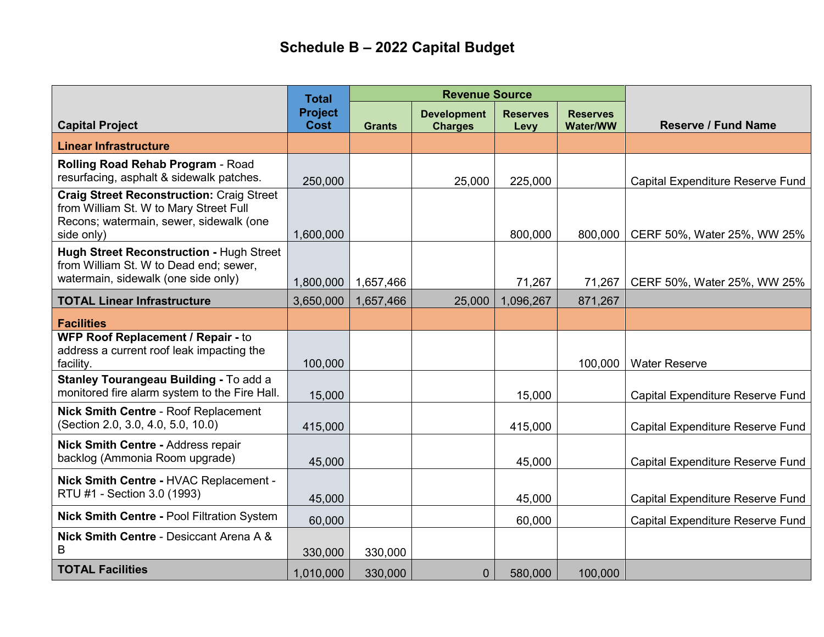## **Schedule B – 2022 Capital Budget**

|                                                                                                                                                     | <b>Total</b>                  | <b>Revenue Source</b> |                                      |                         |                                    |                                         |
|-----------------------------------------------------------------------------------------------------------------------------------------------------|-------------------------------|-----------------------|--------------------------------------|-------------------------|------------------------------------|-----------------------------------------|
| <b>Capital Project</b>                                                                                                                              | <b>Project</b><br><b>Cost</b> | <b>Grants</b>         | <b>Development</b><br><b>Charges</b> | <b>Reserves</b><br>Levy | <b>Reserves</b><br><b>Water/WW</b> | <b>Reserve / Fund Name</b>              |
| <b>Linear Infrastructure</b>                                                                                                                        |                               |                       |                                      |                         |                                    |                                         |
| Rolling Road Rehab Program - Road<br>resurfacing, asphalt & sidewalk patches.                                                                       | 250,000                       |                       | 25,000                               | 225,000                 |                                    | Capital Expenditure Reserve Fund        |
| <b>Craig Street Reconstruction: Craig Street</b><br>from William St. W to Mary Street Full<br>Recons; watermain, sewer, sidewalk (one<br>side only) | 1,600,000                     |                       |                                      | 800,000                 | 800,000                            | CERF 50%, Water 25%, WW 25%             |
| Hugh Street Reconstruction - Hugh Street<br>from William St. W to Dead end; sewer,<br>watermain, sidewalk (one side only)                           | 1,800,000                     | 1,657,466             |                                      | 71,267                  | 71,267                             | CERF 50%, Water 25%, WW 25%             |
| <b>TOTAL Linear Infrastructure</b>                                                                                                                  | 3,650,000                     | 1,657,466             | 25,000                               | 1,096,267               | 871,267                            |                                         |
| <b>Facilities</b>                                                                                                                                   |                               |                       |                                      |                         |                                    |                                         |
| WFP Roof Replacement / Repair - to<br>address a current roof leak impacting the<br>facility.                                                        | 100,000                       |                       |                                      |                         | 100,000                            | <b>Water Reserve</b>                    |
| Stanley Tourangeau Building - To add a<br>monitored fire alarm system to the Fire Hall.                                                             | 15,000                        |                       |                                      | 15,000                  |                                    | <b>Capital Expenditure Reserve Fund</b> |
| <b>Nick Smith Centre - Roof Replacement</b><br>(Section 2.0, 3.0, 4.0, 5.0, 10.0)                                                                   | 415,000                       |                       |                                      | 415,000                 |                                    | Capital Expenditure Reserve Fund        |
| <b>Nick Smith Centre - Address repair</b><br>backlog (Ammonia Room upgrade)                                                                         | 45,000                        |                       |                                      | 45,000                  |                                    | Capital Expenditure Reserve Fund        |
| Nick Smith Centre - HVAC Replacement -<br>RTU #1 - Section 3.0 (1993)                                                                               | 45,000                        |                       |                                      | 45,000                  |                                    | Capital Expenditure Reserve Fund        |
| <b>Nick Smith Centre - Pool Filtration System</b>                                                                                                   | 60,000                        |                       |                                      | 60,000                  |                                    | Capital Expenditure Reserve Fund        |
| Nick Smith Centre - Desiccant Arena A &<br>B                                                                                                        | 330,000                       | 330,000               |                                      |                         |                                    |                                         |
| <b>TOTAL Facilities</b>                                                                                                                             | 1,010,000                     | 330,000               | $\mathbf{0}$                         | 580,000                 | 100,000                            |                                         |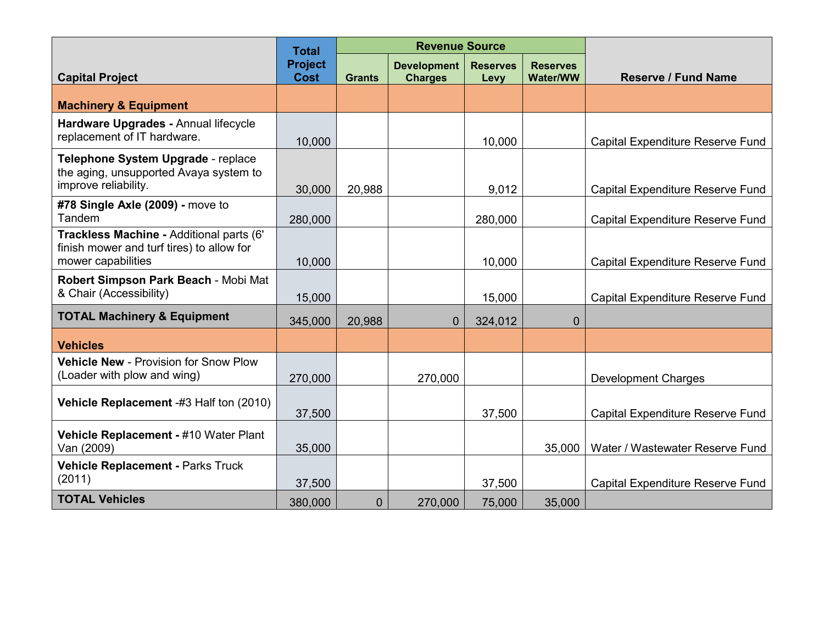|                                                                                                             | <b>Total</b>                  | <b>Revenue Source</b> |                                      |                         |                                    |                                         |
|-------------------------------------------------------------------------------------------------------------|-------------------------------|-----------------------|--------------------------------------|-------------------------|------------------------------------|-----------------------------------------|
| <b>Capital Project</b>                                                                                      | <b>Project</b><br><b>Cost</b> | <b>Grants</b>         | <b>Development</b><br><b>Charges</b> | <b>Reserves</b><br>Levy | <b>Reserves</b><br><b>Water/WW</b> | <b>Reserve / Fund Name</b>              |
| <b>Machinery &amp; Equipment</b>                                                                            |                               |                       |                                      |                         |                                    |                                         |
| Hardware Upgrades - Annual lifecycle<br>replacement of IT hardware.                                         | 10,000                        |                       |                                      | 10,000                  |                                    | <b>Capital Expenditure Reserve Fund</b> |
| Telephone System Upgrade - replace<br>the aging, unsupported Avaya system to<br>improve reliability.        | 30,000                        | 20,988                |                                      | 9,012                   |                                    | <b>Capital Expenditure Reserve Fund</b> |
| #78 Single Axle (2009) - move to<br>Tandem                                                                  | 280,000                       |                       |                                      | 280,000                 |                                    | <b>Capital Expenditure Reserve Fund</b> |
| Trackless Machine - Additional parts (6'<br>finish mower and turf tires) to allow for<br>mower capabilities | 10,000                        |                       |                                      | 10,000                  |                                    | <b>Capital Expenditure Reserve Fund</b> |
| Robert Simpson Park Beach - Mobi Mat<br>& Chair (Accessibility)                                             | 15,000                        |                       |                                      | 15,000                  |                                    | Capital Expenditure Reserve Fund        |
| <b>TOTAL Machinery &amp; Equipment</b>                                                                      | 345,000                       | 20,988                | 0                                    | 324,012                 | $\overline{0}$                     |                                         |
| <b>Vehicles</b>                                                                                             |                               |                       |                                      |                         |                                    |                                         |
| <b>Vehicle New - Provision for Snow Plow</b><br>(Loader with plow and wing)                                 | 270,000                       |                       | 270,000                              |                         |                                    | <b>Development Charges</b>              |
| Vehicle Replacement -#3 Half ton (2010)                                                                     | 37,500                        |                       |                                      | 37,500                  |                                    | Capital Expenditure Reserve Fund        |
| Vehicle Replacement - #10 Water Plant<br>Van (2009)                                                         | 35,000                        |                       |                                      |                         | 35,000                             | Water / Wastewater Reserve Fund         |
| Vehicle Replacement - Parks Truck<br>(2011)                                                                 | 37,500                        |                       |                                      | 37,500                  |                                    | <b>Capital Expenditure Reserve Fund</b> |
| <b>TOTAL Vehicles</b>                                                                                       | 380,000                       | $\overline{0}$        | 270,000                              | 75,000                  | 35,000                             |                                         |